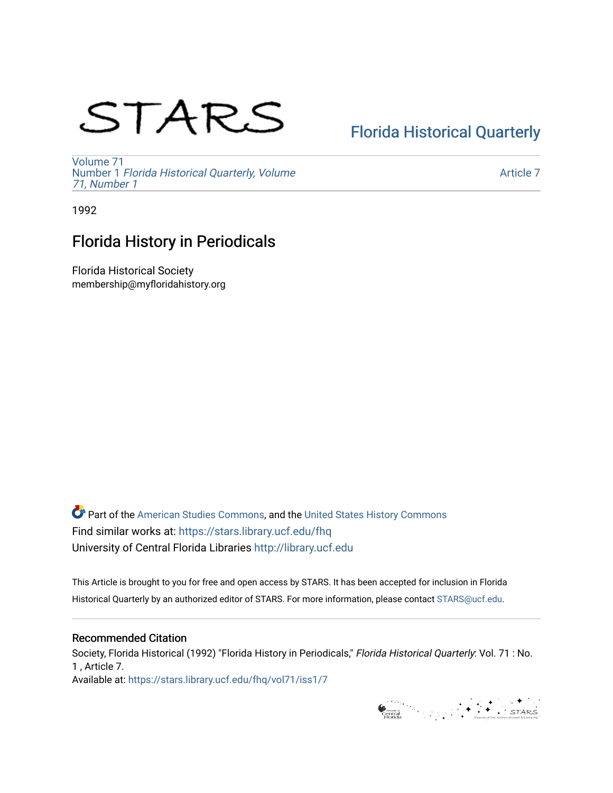# STARS

## [Florida Historical Quarterly](https://stars.library.ucf.edu/fhq)

[Volume 71](https://stars.library.ucf.edu/fhq/vol71) Number 1 [Florida Historical Quarterly, Volume](https://stars.library.ucf.edu/fhq/vol71/iss1)  [71, Number 1](https://stars.library.ucf.edu/fhq/vol71/iss1)

[Article 7](https://stars.library.ucf.edu/fhq/vol71/iss1/7) 

1992

## Florida History in Periodicals

Florida Historical Society membership@myfloridahistory.org

**C** Part of the [American Studies Commons](http://network.bepress.com/hgg/discipline/439?utm_source=stars.library.ucf.edu%2Ffhq%2Fvol71%2Fiss1%2F7&utm_medium=PDF&utm_campaign=PDFCoverPages), and the United States History Commons Find similar works at: <https://stars.library.ucf.edu/fhq> University of Central Florida Libraries [http://library.ucf.edu](http://library.ucf.edu/) 

This Article is brought to you for free and open access by STARS. It has been accepted for inclusion in Florida Historical Quarterly by an authorized editor of STARS. For more information, please contact [STARS@ucf.edu.](mailto:STARS@ucf.edu)

### Recommended Citation

Society, Florida Historical (1992) "Florida History in Periodicals," Florida Historical Quarterly: Vol. 71 : No. 1 , Article 7. Available at: [https://stars.library.ucf.edu/fhq/vol71/iss1/7](https://stars.library.ucf.edu/fhq/vol71/iss1/7?utm_source=stars.library.ucf.edu%2Ffhq%2Fvol71%2Fiss1%2F7&utm_medium=PDF&utm_campaign=PDFCoverPages) 

General Marian Street (STARS)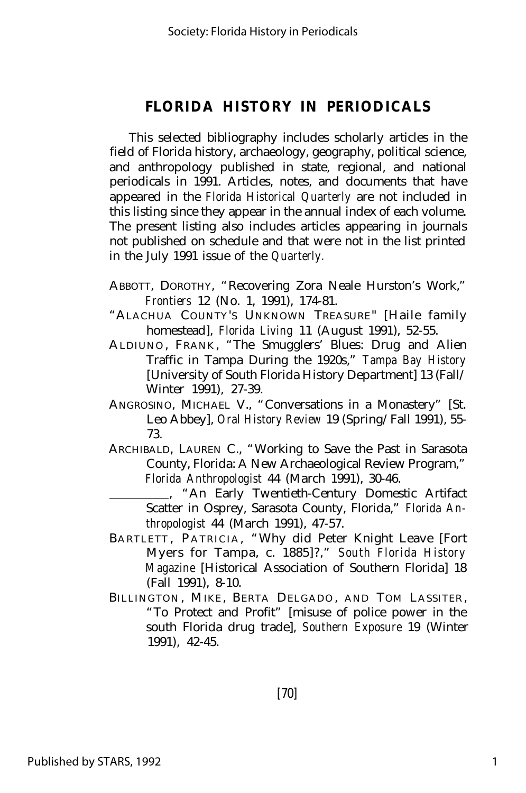This selected bibliography includes scholarly articles in the field of Florida history, archaeology, geography, political science, and anthropology published in state, regional, and national periodicals in 1991. Articles, notes, and documents that have appeared in the *Florida Historical Quarterly* are not included in this listing since they appear in the annual index of each volume. The present listing also includes articles appearing in journals not published on schedule and that were not in the list printed in the July 1991 issue of the *Quarterly.*

- ABBOTT, DOROTHY, "Recovering Zora Neale Hurston's Work," *Frontiers* 12 (No. 1, 1991), 174-81.
- "ALACHUA COUNTY'S UNKNOWN TREASURE" [Haile family homestead], *Florida Living* 11 (August 1991), 52-55.
- ALDIUNO , FRANK , "The Smugglers' Blues: Drug and Alien Traffic in Tampa During the 1920s," *Tampa Bay History* [University of South Florida History Department] 13 (Fall/ Winter 1991), 27-39.
- ANGROSINO, MICHAEL V., "Conversations in a Monastery" [St. Leo Abbey], *Oral History Review* 19 (Spring/Fall 1991), 55- 73.
- ARCHIBALD, LAUREN C., "Working to Save the Past in Sarasota County, Florida: A New Archaeological Review Program," *Florida Anthropologist* 44 (March 1991), 30-46.

 , "An Early Twentieth-Century Domestic Artifact Scatter in Osprey, Sarasota County, Florida," *Florida Anthropologist* 44 (March 1991), 47-57.

- BARTLETT, PATRICIA, "Why did Peter Knight Leave [Fort] Myers for Tampa, c. 1885]?," *South Florida History Magazine* [Historical Association of Southern Florida] 18 (Fall 1991), 8-10.
- BILLINGTON, MIKE, BERTA DELGADO, AND TOM LASSITER, "To Protect and Profit" [misuse of police power in the south Florida drug trade], *Southern Exposure* 19 (Winter 1991), 42-45.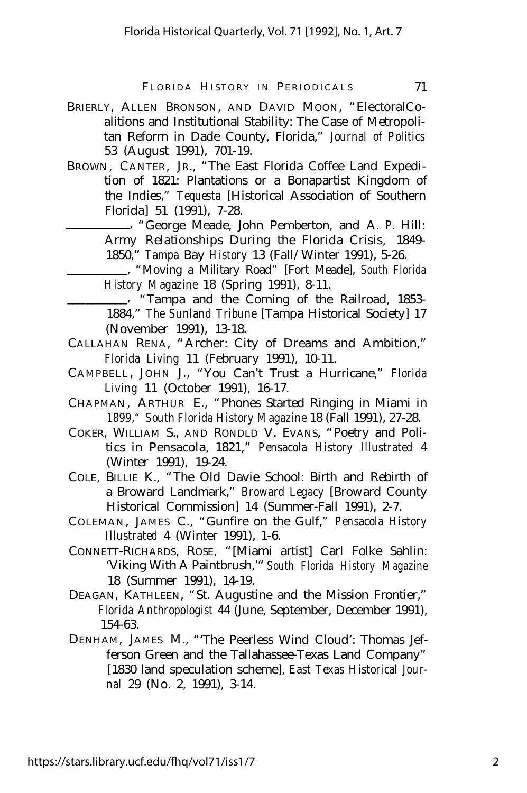- BRIERLY, ALLEN BRONSON, AND DAVID MOON, "ElectoralCoalitions and Institutional Stability: The Case of Metropolitan Reform in Dade County, Florida," *Journal of Politics* 53 (August 1991), 701-19.
- BROWN, CANTER, JR., "The East Florida Coffee Land Expedition of 1821: Plantations or a Bonapartist Kingdom of the Indies," *Tequesta* [Historical Association of Southern Florida] 51 (1991), 7-28.
	- , "George Meade, John Pemberton, and A. P. Hill: Army Relationships During the Florida Crisis, 1849- 1850," *Tampa* Bay *History* 13 (Fall/Winter 1991), 5-26.

 , "Moving a Military Road" [Fort Meade], *South Florida History Magazine* 18 (Spring 1991), 8-11.

\_\_\_, "Tampa and the Coming of the Railroad, 1853-1884," *The Sunland Tribune* [Tampa Historical Society] 17 (November 1991), 13-18.

- CALLAHAN RENA, "Archer: City of Dreams and Ambition," *Florida Living* 11 (February 1991), 10-11.
- CAMPBELL , JOHN J., "You Can't Trust a Hurricane," *Florida Living* 11 (October 1991), 16-17.
- CHAPMAN, ARTHUR E., "Phones Started Ringing in Miami in *1899," South Florida History Magazine* 18 (Fall 1991), 27-28.
- COKER, WILLIAM S., AND RONDLD V. EVANS, "Poetry and Politics in Pensacola, 1821," *Pensacola History Illustrated* 4 (Winter 1991), 19-24.
- COLE, BILLIE K., "The Old Davie School: Birth and Rebirth of a Broward Landmark," *Broward Legacy* [Broward County Historical Commission] 14 (Summer-Fall 1991), 2-7.
- COLEMAN, JAMES C., "Gunfire on the Gulf," *Pensacola History Illustrated* 4 (Winter 1991), 1-6.
- CONNETT-RICHARDS, ROSE, "[Miami artist] Carl Folke Sahlin: 'Viking With A Paintbrush,'"*South Florida History Magazine* 18 (Summer 1991), 14-19.
- DEAGAN, KATHLEEN, "St. Augustine and the Mission Frontier," *Florida Anthropologist* 44 (June, September, December 1991), 154-63.
- DENHAM, JAMES M., "'The Peerless Wind Cloud': Thomas Jefferson Green and the Tallahassee-Texas Land Company" [1830 land speculation scheme], *East Texas Historical Journal* 29 (No. 2, 1991), 3-14.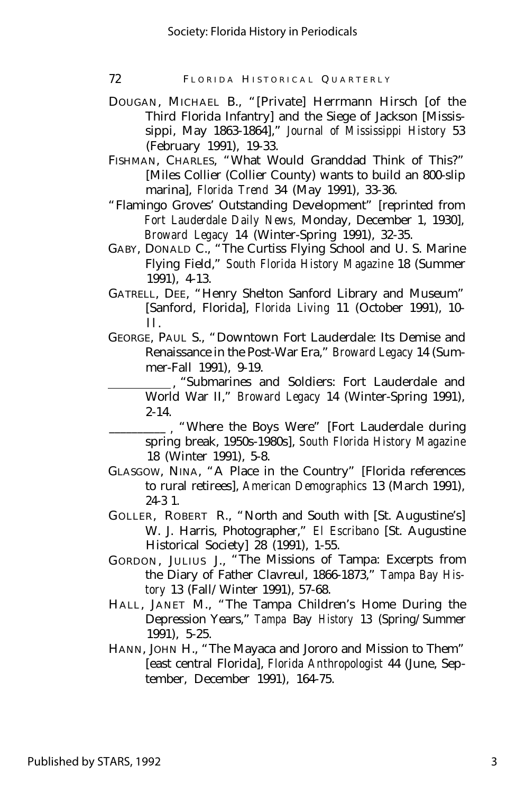72 FLORIDA HISTORICAL QUARTERLY

- DOUGAN, MICHAEL B., "[Private] Herrmann Hirsch [of the Third Florida Infantry] and the Siege of Jackson [Mississippi, May 1863-1864]," *Journal of Mississippi History* 53 (February 1991), 19-33.
- FISHMAN, CHARLES, "What Would Granddad Think of This?" [Miles Collier (Collier County) wants to build an 800-slip marina], *Florida Trend* 34 (May 1991), 33-36.
- "Flamingo Groves' Outstanding Development" [reprinted from *Fort Lauderdale Daily News,* Monday, December 1, 1930], *Broward Legacy* 14 (Winter-Spring 1991), 32-35.
- GABY, DONALD C., "The Curtiss Flying School and U. S. Marine Flying Field," *South Florida History Magazine* 18 (Summer 1991), 4-13.
- GATRELL, DEE, "Henry Shelton Sanford Library and Museum" [Sanford, Florida], *Florida Living* 11 (October 1991), 10-  $\mathbf{11}$ .
- GEORGE, PAUL S., "Downtown Fort Lauderdale: Its Demise and Renaissance in the Post-War Era," *Broward Legacy* 14 (Summer-Fall 1991), 9-19.

 , "Submarines and Soldiers: Fort Lauderdale and World War II," *Broward Legacy* 14 (Winter-Spring 1991), 2-14.

- \_\_\_\_\_\_\_\_\_\_ , "Where the Boys Were" [Fort Lauderdale during spring break, 1950s-1980s], *South Florida History Magazine* 18 (Winter 1991), 5-8.
- GLASGOW, NINA, "A Place in the Country" [Florida references to rural retirees], *American Demographics* 13 (March 1991), 24-3 1.
- GOLLER, ROBERT R., "North and South with [St. Augustine's] W. J. Harris, Photographer," *El Escribano* [St. Augustine Historical Society] 28 (1991), 1-55.
- GORDON, JULIUS J., "The Missions of Tampa: Excerpts from the Diary of Father Clavreul, 1866-1873," *Tampa Bay History* 13 (Fall/Winter 1991), 57-68.
- HALL, JANET M., "The Tampa Children's Home During the Depression Years," *Tampa* Bay *History* 13 (Spring/Summer 1991), 5-25.
- HANN, JOHN H., "The Mayaca and Jororo and Mission to Them" [east central Florida], *Florida Anthropologist* 44 (June, September, December 1991), 164-75.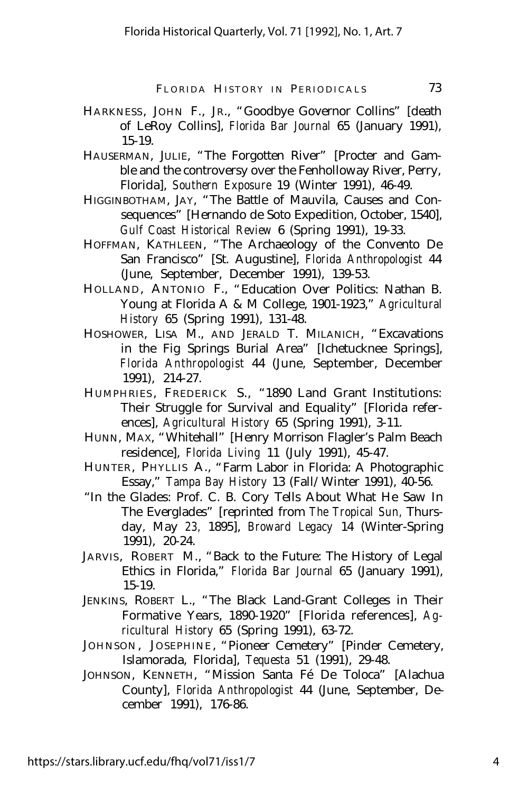- HARKNESS, JOHN F., JR., "Goodbye Governor Collins" [death of LeRoy Collins], *Florida Bar Journal* 65 (January 1991), 15-19.
- HAUSERMAN, JULIE, "The Forgotten River" [Procter and Gamble and the controversy over the Fenholloway River, Perry, Florida], *Southern Exposure* 19 (Winter 1991), 46-49.
- HIGGINBOTHAM, JAY, "The Battle of Mauvila, Causes and Consequences" [Hernando de Soto Expedition, October, 1540], *Gulf Coast Historical Review* 6 (Spring 1991), 19-33.
- HOFFMAN, KATHLEEN, "The Archaeology of the Convento De San Francisco" [St. Augustine], *Florida Anthropologist* 44 (June, September, December 1991), 139-53.
- HOLLAND, ANTONIO F., "Education Over Politics: Nathan B. Young at Florida A & M College, 1901-1923," *Agricultural History* 65 (Spring 1991), 131-48.
- HOSHOWER, LISA M., AND JERALD T. MILANICH, "Excavations in the Fig Springs Burial Area" [Ichetucknee Springs], *Florida Anthropologist* 44 (June, September, December 1991), 214-27.
- HUMPHRIES, FREDERICK S., "1890 Land Grant Institutions: Their Struggle for Survival and Equality" [Florida references], *Agricultural History* 65 (Spring 1991), 3-11.
- HUNN, MAX, "Whitehall" [Henry Morrison Flagler's Palm Beach residence], *Florida Living* 11 (July 1991), 45-47.
- HUNTER, PHYLLIS A., "Farm Labor in Florida: A Photographic Essay," *Tampa Bay History* 13 (Fall/Winter 1991), 40-56.
- "In the Glades: Prof. C. B. Cory Tells About What He Saw In The Everglades" [reprinted from *The Tropical Sun,* Thursday, May *23,* 1895], *Broward Legacy* 14 (Winter-Spring 1991), 20-24.
- JARVIS, ROBERT M., "Back to the Future: The History of Legal Ethics in Florida," *Florida Bar Journal* 65 (January 1991), 15-19.
- JENKINS, ROBERT L., "The Black Land-Grant Colleges in Their Formative Years, 1890-1920" [Florida references], *Agricultural History* 65 (Spring 1991), 63-72.
- JOHNSON, JOSEPHINE, "Pioneer Cemetery" [Pinder Cemetery, Islamorada, Florida], *Tequesta* 51 (1991), 29-48.
- JOHNSON, KENNETH, "Mission Santa Fé De Toloca" [Alachua County], *Florida Anthropologist* 44 (June, September, December 1991), 176-86.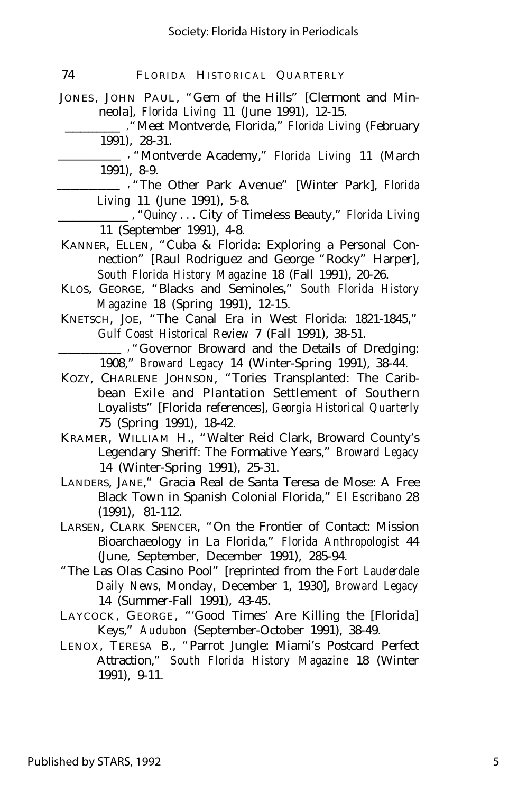| 74 |  | FLORIDA HISTORICAL QUARTERLY |  |
|----|--|------------------------------|--|
|----|--|------------------------------|--|

JONES, JOHN PAUL, "Gem of the Hills" [Clermont and Minneola], *Florida Living* 11 (June 1991), 12-15.

 \_\_\_\_\_\_\_\_\_\_\_\_\_\_ ,"Meet Montverde, Florida," *Florida Living* (February 1991), 28-31.

\_\_\_\_\_\_\_\_\_\_\_\_\_\_ , "Montverde Academy," *Florida Living* 11 (March 1991), 8-9.

\_\_\_\_\_\_\_\_\_\_\_\_\_\_ , "The Other Park Avenue" [Winter Park], *Florida Living* 11 (June 1991), 5-8.

\_\_\_\_\_\_\_\_\_\_\_\_\_\_ , "Quincy . . . City of Timeless Beauty," *Florida Living* 11 (September 1991), 4-8.

- KANNER, ELLEN, "Cuba & Florida: Exploring a Personal Connection" [Raul Rodriguez and George "Rocky" Harper], *South Florida History Magazine* 18 (Fall 1991), 20-26.
- KLOS, GEORGE, "Blacks and Seminoles," *South Florida History Magazine* 18 (Spring 1991), 12-15.
- KNETSCH, JOE, "The Canal Era in West Florida: 1821-1845," *Gulf Coast Historical Review* 7 (Fall 1991), 38-51.
	- \_\_\_\_\_\_\_\_\_\_\_\_\_\_ , "Governor Broward and the Details of Dredging: 1908," *Broward Legacy* 14 (Winter-Spring 1991), 38-44.
- KOZY, CHARLENE JOHNSON, "Tories Transplanted: The Caribbean Exile and Plantation Settlement of Southern Loyalists" [Florida references], *Georgia Historical Quarterly* 75 (Spring 1991), 18-42.
- KRAMER, WILLIAM H., "Walter Reid Clark, Broward County's Legendary Sheriff: The Formative Years," *Broward Legacy* 14 (Winter-Spring 1991), 25-31.
- LANDERS, JANE," Gracia Real de Santa Teresa de Mose: A Free Black Town in Spanish Colonial Florida," *El Escribano* 28 (1991), 81-112.
- LARSEN, CLARK SPENCER, "On the Frontier of Contact: Mission Bioarchaeology in La Florida," *Florida Anthropologist* 44 (June, September, December 1991), 285-94.
- "The Las Olas Casino Pool" [reprinted from the *Fort Lauderdale Daily News,* Monday, December 1, 1930], *Broward Legacy* 14 (Summer-Fall 1991), 43-45.
- LAYCOCK, GEORGE, "'Good Times' Are Killing the [Florida] Keys," *Audubon* (September-October 1991), 38-49.
- LENOX, TERESA B., "Parrot Jungle: Miami's Postcard Perfect Attraction," *South Florida History Magazine* 18 (Winter 1991), 9-11.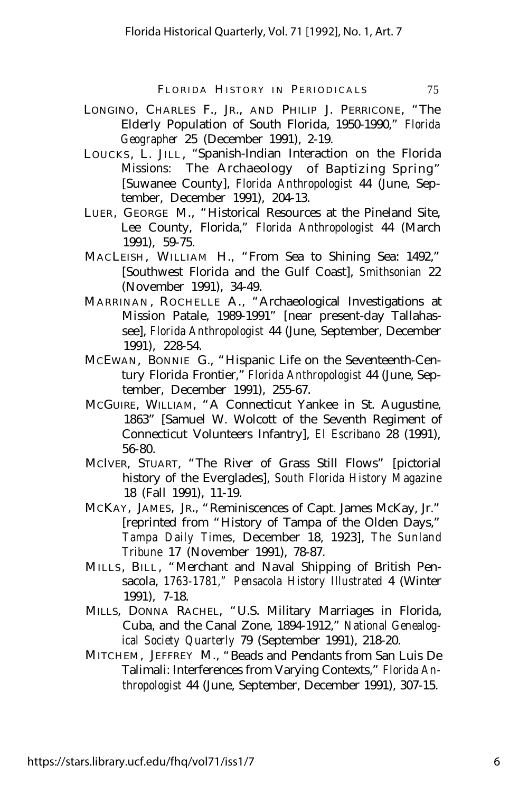- LONGINO, CHARLES F., JR., AND PHILIP J. PERRICONE, "The Elderly Population of South Florida, 1950-1990," *Florida Geographer* 25 (December 1991), 2-19.
- LOUCKS , L. JILL , "Spanish-Indian Interaction on the Florida Missions: The Archaeology of Baptizing Spring" [Suwanee County], *Florida Anthropologist* 44 (June, September, December 1991), 204-13.
- LUER, GEORGE M., "Historical Resources at the Pineland Site, Lee County, Florida," *Florida Anthropologist* 44 (March 1991), 59-75.
- MACLEISH, WILLIAM H., "From Sea to Shining Sea: 1492," [Southwest Florida and the Gulf Coast], *Smithsonian* 22 (November 1991), 34-49.
- MARRINAN, ROCHELLE A., "Archaeological Investigations at Mission Patale, 1989-1991" [near present-day Tallahassee], *Florida Anthropologist* 44 (June, September, December 1991), 228-54.
- MCEWAN, BONNIE G., "Hispanic Life on the Seventeenth-Century Florida Frontier," *Florida Anthropologist* 44 (June, September, December 1991), 255-67.
- MCGUIRE, WILLIAM, "A Connecticut Yankee in St. Augustine, 1863" [Samuel W. Wolcott of the Seventh Regiment of Connecticut Volunteers Infantry], *El Escribano* 28 (1991), 56-80.
- MCIVER, STUART, "The River of Grass Still Flows" [pictorial history of the Everglades], *South Florida History Magazine* 18 (Fall 1991), 11-19.
- MCKAY, JAMES, JR., "Reminiscences of Capt. James McKay, Jr." [reprinted from "History of Tampa of the Olden Days," *Tampa Daily Times,* December 18, 1923], *The Sunland Tribune* 17 (November 1991), 78-87.
- MILLS, BILL, "Merchant and Naval Shipping of British Pensacola, *1763-1781," Pensacola History Illustrated* 4 (Winter 1991), 7-18.
- MILLS, DONNA RACHEL, "U.S. Military Marriages in Florida, Cuba, and the Canal Zone, 1894-1912," *National Genealogical Society Quarterly* 79 (September 1991), 218-20.
- MITCHEM, JEFFREY M., "Beads and Pendants from San Luis De Talimali: Interferences from Varying Contexts," *Florida Anthropologist* 44 (June, September, December 1991), 307-15.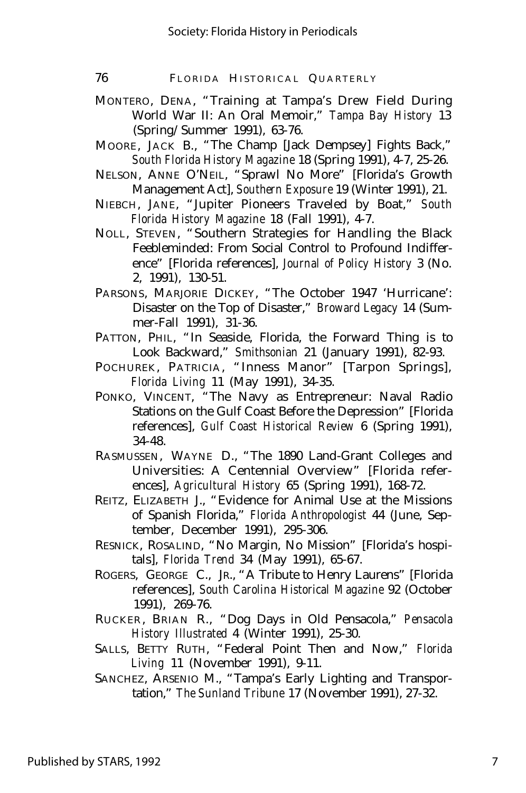76 FLORIDA HISTORICAL QUARTERLY

- MONTERO, DENA, "Training at Tampa's Drew Field During World War II: An Oral Memoir," *Tampa Bay History* 13 (Spring/Summer 1991), 63-76.
- MOORE, JACK B., "The Champ [Jack Dempsey] Fights Back," *South Florida History Magazine* 18 (Spring 1991), 4-7, 25-26.
- NELSON, ANNE O'NEIL, "Sprawl No More" [Florida's Growth Management Act], *Southern Exposure* 19 (Winter 1991), 21.
- NIEBCH, JANE, "Jupiter Pioneers Traveled by Boat," *South Florida History Magazine* 18 (Fall 1991), 4-7.
- NOLL, STEVEN, "Southern Strategies for Handling the Black Feebleminded: From Social Control to Profound Indifference" [Florida references], *Journal of Policy History* 3 (No. 2, 1991), 130-51.
- PARSONS, MARJORIE DICKEY, "The October 1947 'Hurricane': Disaster on the Top of Disaster," *Broward Legacy* 14 (Summer-Fall 1991), 31-36.
- PATTON, PHIL, "In Seaside, Florida, the Forward Thing is to Look Backward," *Smithsonian* 21 (January 1991), 82-93.
- POCHUREK, PATRICIA, "Inness Manor" [Tarpon Springs], *Florida Living* 11 (May 1991), 34-35.
- PONKO, VINCENT, "The Navy as Entrepreneur: Naval Radio Stations on the Gulf Coast Before the Depression" [Florida references], *Gulf Coast Historical Review* 6 (Spring 1991), 34-48.
- RASMUSSEN, WAYNE D., "The 1890 Land-Grant Colleges and Universities: A Centennial Overview" [Florida references], *Agricultural History* 65 (Spring 1991), 168-72.
- REITZ, ELIZABETH J., "Evidence for Animal Use at the Missions of Spanish Florida," *Florida Anthropologist* 44 (June, September, December 1991), 295-306.
- RESNICK, ROSALIND, "No Margin, No Mission" [Florida's hospitals], *Florida Trend* 34 (May 1991), 65-67.
- ROGERS, GEORGE C., JR., "A Tribute to Henry Laurens" [Florida references], *South Carolina Historical Magazine* 92 (October 1991), 269-76.
- RUCKER , BRIAN R., "Dog Days in Old Pensacola," *Pensacola History Illustrated* 4 (Winter 1991), 25-30.
- SALLS, BETTY RUTH, "Federal Point Then and Now," *Florida Living* 11 (November 1991), 9-11.
- SANCHEZ, ARSENIO M., "Tampa's Early Lighting and Transportation," *The Sunland Tribune* 17 (November 1991), 27-32.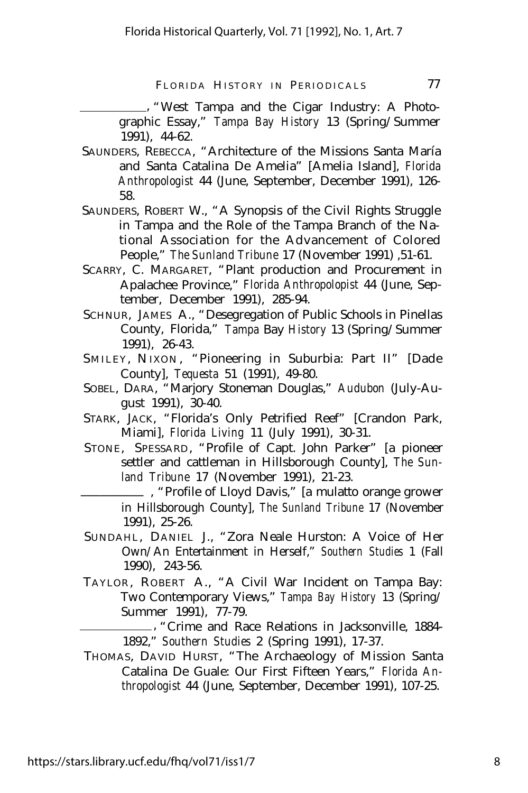, "West Tampa and the Cigar Industry: A Photographic Essay," *Tampa Bay History* 13 (Spring/Summer 1991), 44-62.

- SAUNDERS, REBECCA, "Architecture of the Missions Santa María and Santa Catalina De Amelia" [Amelia Island], *Florida Anthropologist* 44 (June, September, December 1991), 126- 58.
- SAUNDERS, ROBERT W., "A Synopsis of the Civil Rights Struggle in Tampa and the Role of the Tampa Branch of the National Association for the Advancement of Colored People," *The Sunland Tribune* 17 (November 1991) ,51-61.
- SCARRY, C. MARGARET, "Plant production and Procurement in Apalachee Province," *Florida Anthropolopist* 44 (June, September, December 1991), 285-94.
- SCHNUR, JAMES A., "Desegregation of Public Schools in Pinellas County, Florida," *Tampa* Bay *History* 13 (Spring/Summer 1991), 26-43.
- SMILEY, NIXON, "Pioneering in Suburbia: Part II" [Dade County], *Tequesta* 51 (1991), 49-80.
- SOBEL, DARA, "Marjory Stoneman Douglas," *Audubon* (July-August 1991), 30-40.
- STARK, JACK, "Florida's Only Petrified Reef" [Crandon Park, Miami], *Florida Living* 11 (July 1991), 30-31.
- STONE, SPESSARD, "Profile of Capt. John Parker" [a pioneer settler and cattleman in Hillsborough County], *The Sunland Tribune* 17 (November 1991), 21-23.

\_\_\_\_\_\_\_\_\_\_ , "Profile of Lloyd Davis," [a mulatto orange grower in Hillsborough County], *The Sunland Tribune* 17 (November 1991), 25-26.

- SUNDAHL, DANIEL J., "Zora Neale Hurston: A Voice of Her Own/An Entertainment in Herself," *Southern Studies* 1 (Fall 1990), 243-56.
- TAYLOR, ROBERT A., "A Civil War Incident on Tampa Bay: Two Contemporary Views," *Tampa Bay History* 13 (Spring/ Summer 1991), 77-79.

 , "Crime and Race Relations in Jacksonville, 1884- 1892," *Southern Studies* 2 (Spring 1991), 17-37.

THOMAS, DAVID HURST, "The Archaeology of Mission Santa Catalina De Guale: Our First Fifteen Years," *Florida Anthropologist* 44 (June, September, December 1991), 107-25.